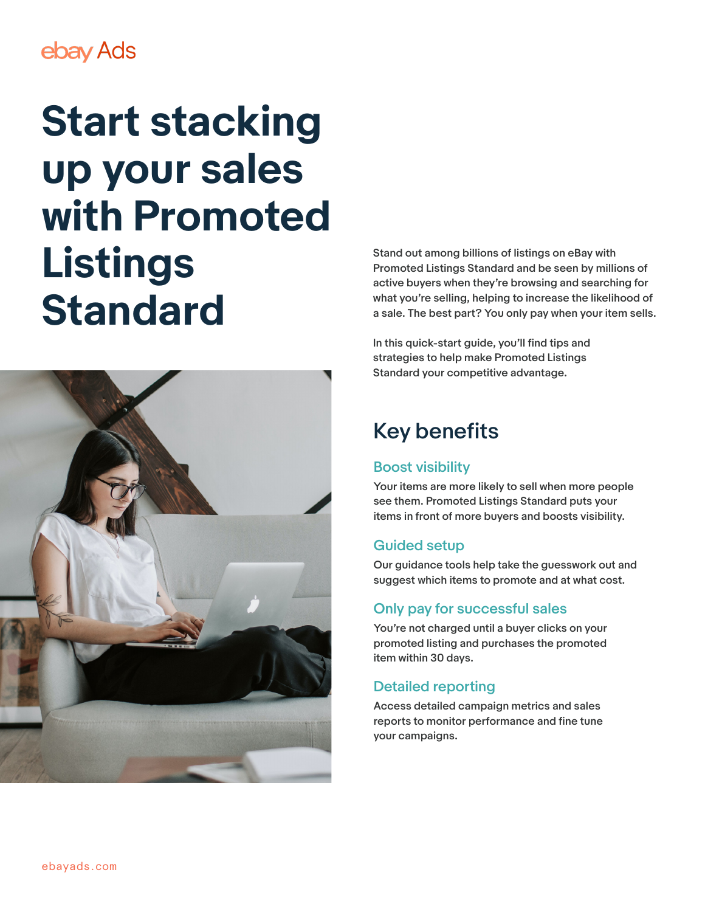## ebay Ads

# **Start stacking up your sales with Promoted Listings Standard**



Stand out among billions of listings on eBay with Promoted Listings Standard and be seen by millions of active buyers when they're browsing and searching for what you're selling, helping to increase the likelihood of a sale. The best part? You only pay when your item sells.

In this quick-start guide, you'll find tips and strategies to help make Promoted Listings Standard your competitive advantage.

### Key benefits

#### Boost visibility

Your items are more likely to sell when more people see them. Promoted Listings Standard puts your items in front of more buyers and boosts visibility.

#### Guided setup

Our guidance tools help take the guesswork out and suggest which items to promote and at what cost.

#### Only pay for successful sales

You're not charged until a buyer clicks on your promoted listing and purchases the promoted item within 30 days.

#### Detailed reporting

Access detailed campaign metrics and sales reports to monitor performance and fine tune your campaigns.